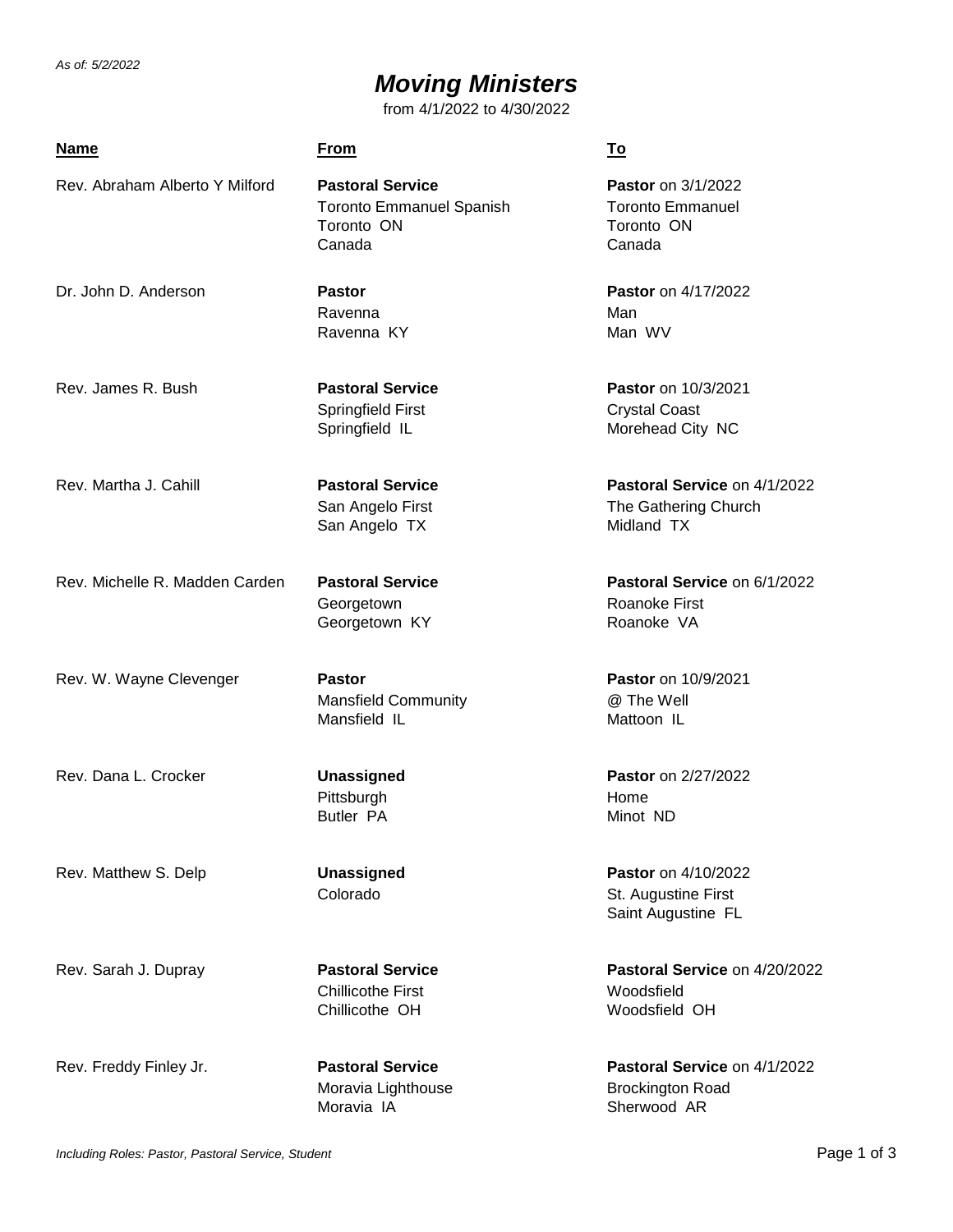*As of: 5/2/2022*

# *Moving Ministers*

from 4/1/2022 to 4/30/2022

| <b>Name</b>                    | <b>From</b>                                                                        | <u>To</u>                                                                    |
|--------------------------------|------------------------------------------------------------------------------------|------------------------------------------------------------------------------|
| Rev. Abraham Alberto Y Milford | <b>Pastoral Service</b><br><b>Toronto Emmanuel Spanish</b><br>Toronto ON<br>Canada | <b>Pastor</b> on 3/1/2022<br><b>Toronto Emmanuel</b><br>Toronto ON<br>Canada |
| Dr. John D. Anderson           | <b>Pastor</b><br>Ravenna<br>Ravenna KY                                             | Pastor on 4/17/2022<br>Man<br>Man WV                                         |
| Rev. James R. Bush             | <b>Pastoral Service</b><br>Springfield First<br>Springfield IL                     | <b>Pastor</b> on 10/3/2021<br><b>Crystal Coast</b><br>Morehead City NC       |
| Rev. Martha J. Cahill          | <b>Pastoral Service</b><br>San Angelo First<br>San Angelo TX                       | Pastoral Service on 4/1/2022<br>The Gathering Church<br>Midland TX           |
| Rev. Michelle R. Madden Carden | <b>Pastoral Service</b><br>Georgetown<br>Georgetown KY                             | Pastoral Service on 6/1/2022<br><b>Roanoke First</b><br>Roanoke VA           |
| Rev. W. Wayne Clevenger        | <b>Pastor</b><br><b>Mansfield Community</b><br>Mansfield IL                        | <b>Pastor</b> on 10/9/2021<br>@ The Well<br>Mattoon IL                       |
| Rev. Dana L. Crocker           | <b>Unassigned</b><br>Pittsburgh<br><b>Butler PA</b>                                | Pastor on 2/27/2022<br>Home<br>Minot ND                                      |
| Rev. Matthew S. Delp           | <b>Unassigned</b><br>Colorado                                                      | Pastor on 4/10/2022<br>St. Augustine First<br>Saint Augustine FL             |
| Rev. Sarah J. Dupray           | <b>Pastoral Service</b><br><b>Chillicothe First</b><br>Chillicothe OH              | Pastoral Service on 4/20/2022<br>Woodsfield<br>Woodsfield OH                 |
| Rev. Freddy Finley Jr.         | <b>Pastoral Service</b><br>Moravia Lighthouse                                      | Pastoral Service on 4/1/2022<br><b>Brockington Road</b>                      |

Moravia IA **Sherwood AR**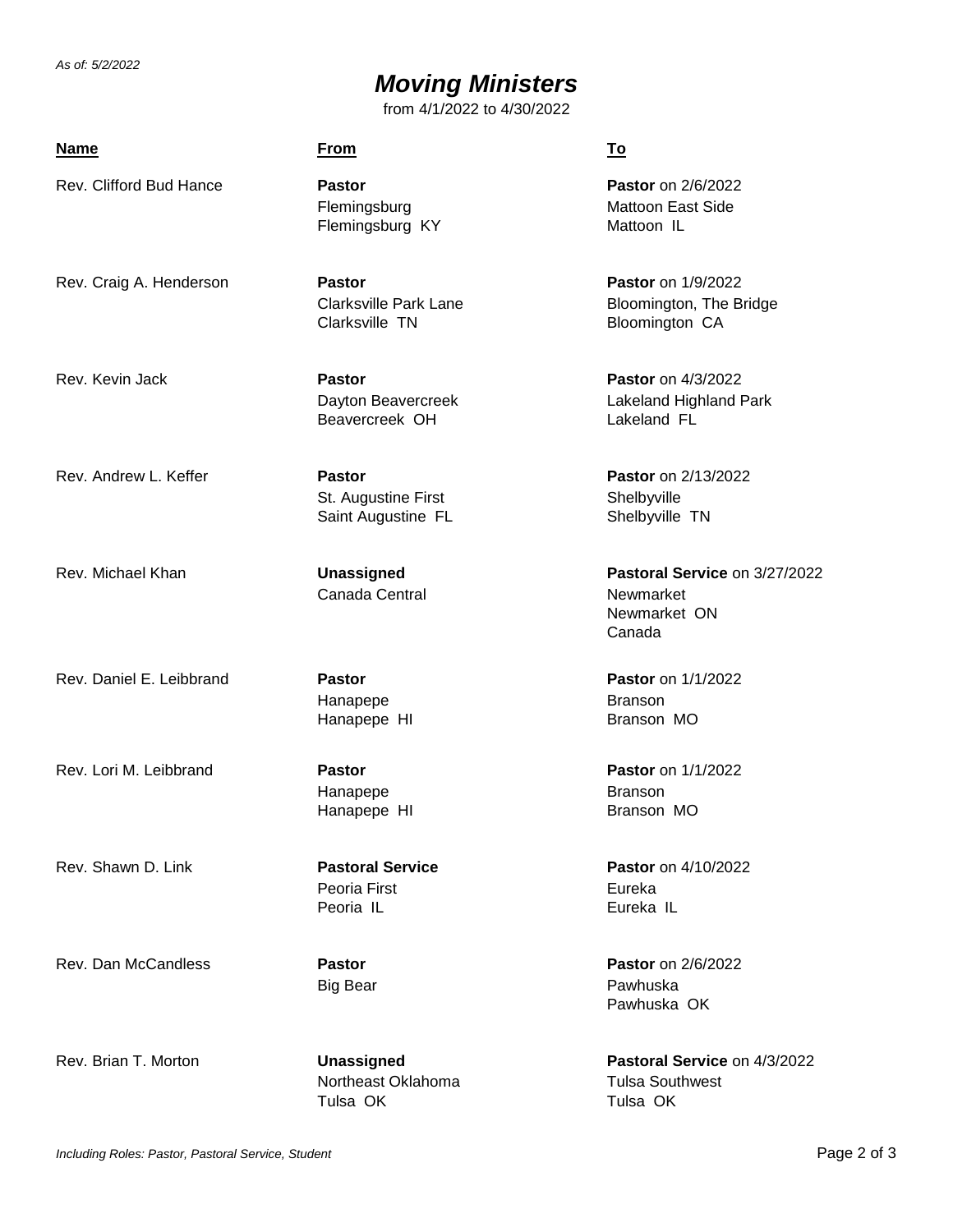*As of: 5/2/2022*

## *Moving Ministers*

from 4/1/2022 to 4/30/2022

### **Name From To**

Rev. Clifford Bud Hance **Pastor Pastor** on 2/6/2022

Flemingsburg KY Mattoon IL

Rev. Craig A. Henderson **Pastor Pastor** on 1/9/2022 Clarksville TN Bloomington CA

Beavercreek OH Lakeland FL

St. Augustine First Shelbyville Saint Augustine FL Shelbyville TN

Canada Central Newmarket

Hanapepe Branson Hanapepe HI Branson MO

Hanapepe Branson

Peoria First **Eureka** Peoria IL **Eureka IL** 

Rev. Dan McCandless **Pastor Pastor** on 2/6/2022

Northeast Oklahoma **Tulsa Southwest** Tulsa OK Tulsa OK

Flemingsburg Mattoon East Side

Clarksville Park Lane Bloomington, The Bridge

Rev. Kevin Jack **Pastor Pastor** on 4/3/2022 Dayton Beavercreek Lakeland Highland Park

Rev. Andrew L. Keffer **Pastor Pastor** on 2/13/2022

Rev. Michael Khan **Unassigned Pastoral Service** on 3/27/2022 Newmarket ON Canada

Rev. Daniel E. Leibbrand **Pastor Pastor** on 1/1/2022

Rev. Lori M. Leibbrand **Pastor Pastor** on 1/1/2022 Hanapepe HI Branson MO

Rev. Shawn D. Link **Pastoral Service Pastor** on 4/10/2022

Big Bear **Pawhuska** Pawhuska OK

Rev. Brian T. Morton **Unassigned Pastoral Service** on 4/3/2022